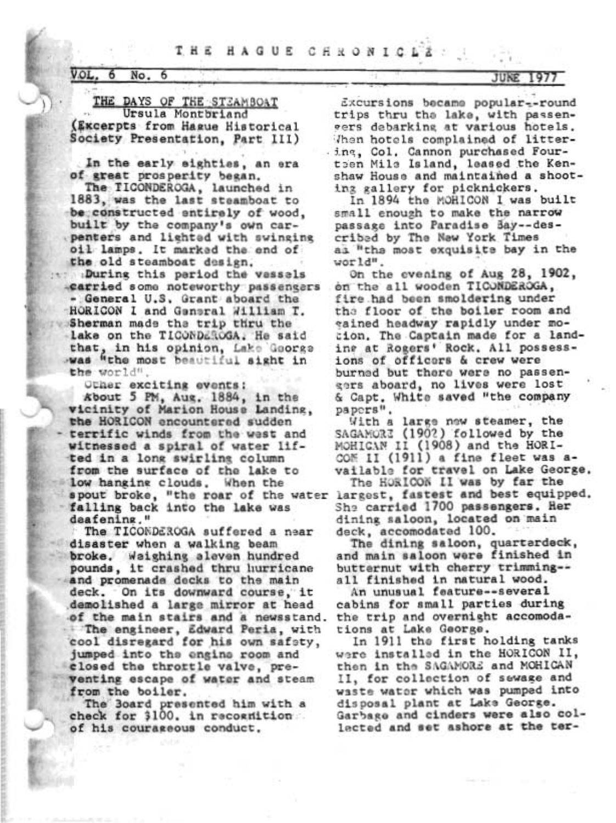## THE HAGUE CHRONIC

## $V.OL, 6 No, 6$

THE DAYS OF THE STEAMBOAT Ursula Montbriand (Excerpts from Hague Historical Society Presentation, Part III)

In the early sighties, an era of great prosperity began.

The TICONDEROGA, launched in 1883, was the last steamboat to be constructed entirely of wood, built by the company's own carpenters and lighted with swinging oil lamps. It marked the end of the old steamboat design.

puring this pariod the vassals earried some noteworthy passengers - General U.S. Grant aboard the HORICON I and General William T. Sherman made the trip thru the lake on the TICONDEROGA. He said that, in his opinion, Lake George was "the most beautiful sight in the world"

Other exciting events: About 5 PM, Aug. 1884, in the vicinity of Marion House Landing, the HORICON encountered sudden terrific winds from the wast and witnessed a spiral of water lifted in a long swirling column from the surface of the lake to low hanging clouds. When the spout broke, "the roar of the water falling back into the lake was deafening."

The TICONDEROGA suffered a near disaster when a walking beam broke. Waighing aleven hundred pounds, it crashed thru hurricane and promenade decks to the main deck. On its downward course, it demolished a large mirror at head of the main stairs and a newsstand. The engineer, Edward Peria, with<br>cool disregard for his own safety, jumped into the engine room and closed the throttle valve, preventing escape of water and steam from the boiler.

The Board presented him with a check for 3100, in recognition of his courageous conduct.

Excursions became popular--round trips thru the lake, with passengers debarking at various hotels. Then hotels complained of littering, Col. Cannon purchased Fourtoen Mile Island, leased the Kenshaw House and maintained a shooting gallery for picknickers.

In 1894 the MORICON I was built small enough to make the narrow passage into Paradise Bay -- described by The New York Times as "the most exquisite bay in the world".

On the evening of Aug 28, 1902, on the all wooden TICONDEROGA, fire had been smoldering under the floor of the boiler room and eained headway rapidly under mocion. The Captain made for a landine at Rogers' Rock. All possessions of officers & crew were burned but there were no passengers aboard, no lives were lost & Capt. White saved "the company papers".

With a large new steamer, the SAGAMORE (1902) followed by the MOHICAN II (1908) and the HORI-COM II (1911) a fine fleet was available for travel on Lake George.

The HORICON II was by far the largest, fastest and best equipped. She carried 1700 passengers. Her dining saloon, located on main deck, accomodated 100.

The dining saloon, quartardeck, and main saloon were finished in butternut with cherry trimming-all finished in natural wood.

An unusual feature--several cabins for small parties during the trip and overnight accomodations at Lake George.

In 1911 the first holding tanks were installed in the HORICON II, then in the SAGAMORE and MOHICAN II, for collection of sewage and waste water which was pumped into disposal plant at Lake George. Garbage and cinders were also collected and set ashore at the ter-

JUNE 1977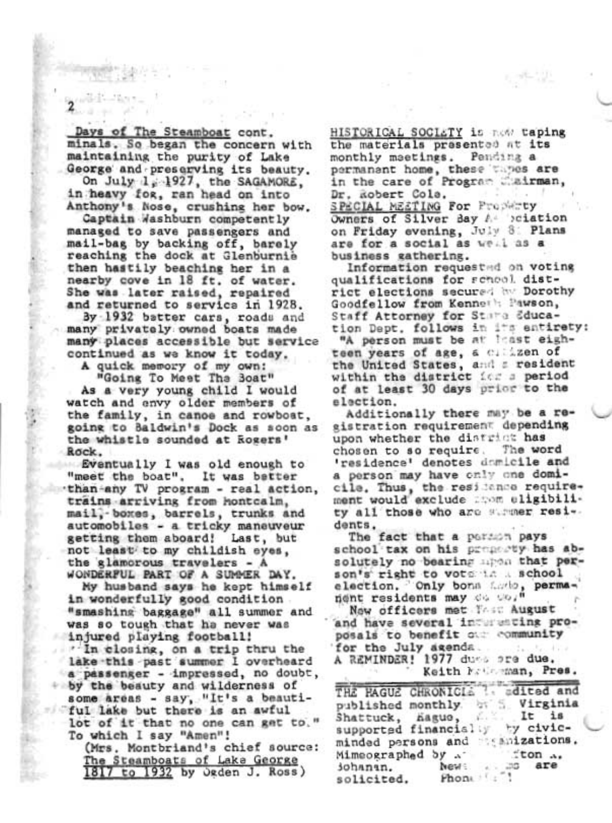Days of The Steamboat cont. minals. So began the concern with maintaining the purity of Lake George and preserving its beauty.

On July 1, 1927, the SAGAMORE, in heavy for, ran head on into Anthony's Nose, crushing her bow.

Captain Washburn competently managed to save passengers and mail-bag by backing off, barely reaching the dock at Glenburnie then hastily beaching her in a nearby cove in 18 ft. of water. She was later raised, repaired and returned to service in 1928.

By 1932 batter cars, roads and many privately owned boats made many places accessible but service continued as we know it today.

A quick memory of my own:

"Going To Meet The Boat" As a very young child I would watch and envy older members of the family, in canoe and rowboat, going to Baldwin's Dock as soon as the whistle sounded at Rogers' Rock.

Eventually I was old enough to "meet the boat". It was better than-any TV program - real action, trains arriving from hontcalm, mail, boxes, barrels, trunks and automobiles - a tricky maneuveur getting them aboard! Last, but not least to my childish eyes. the glamorous travelers - A WONDERFUL PART OF A SUMMER DAY.

My husband says he kept himself in wonderfully good condition "smashing baggage" all summer and was so tough that he never was injured playing football! "In closing, on a trip thru the lake this past summer I overheard a passenger - impressed, no doubt, by the beauty and wilderness of some areas - say, "It's a beautiful lake but there is an awful lot of it that no one can get to." To which I say "Amen"!

(Mrs. Montbriand's chief source: The Steamboats of Lake George 1817 to 1932 by Ogden J. Ross)

HISTORICAL SOCIETY is now taping the materials presented at its monthly maetings. Pending a permanent home, these tapes are<br>in the care of Program mairman, Dr. Robert Cole. SPECIAL MESTING For Property Owners of Silver Bay A Sciation on Friday evening, July 8: Plans are for a social as well as a business gathering.

Information requested on voting qualifications for renool district elections secured hy Dorothy Goodfellow from Kenneth Pawson, Staff Attorney for Stara Education Dept. follows in its entirety:

"A person must be at least eighteen years of age, a climaten of the United States, and a resident within the district ice a period of at least 30 days prior to the election.

Additionally there may be a registration requirement depending upon whether the district has The word chosen to so require. 'residence' denotes damicile and a person may have cnly one domicile. Thus, the residence requirement would exclude mon eligibility all those who are streer residents.

The fact that a parson pays school tax on his property has absolutely no bearing mon that person's right to vote in a school election. Only bons facto, permanent residents may de co."

Now officers met Tost August and have several interesting proposals to benefit our community for the July agenda. -1979

A REMINDER! 1977 dues ore due. Keith Matheman, Pres.

THE PAGUE CHRONICIS ?. adited and published monthly. by S. Virginia  $E \leq$ It is Shattuck, hague, supported financially by civicminded persons and magazizations.  $\pm$ ton  $\lambda$ Mimeographed by ... no are News: sohanan. Phone : solicited.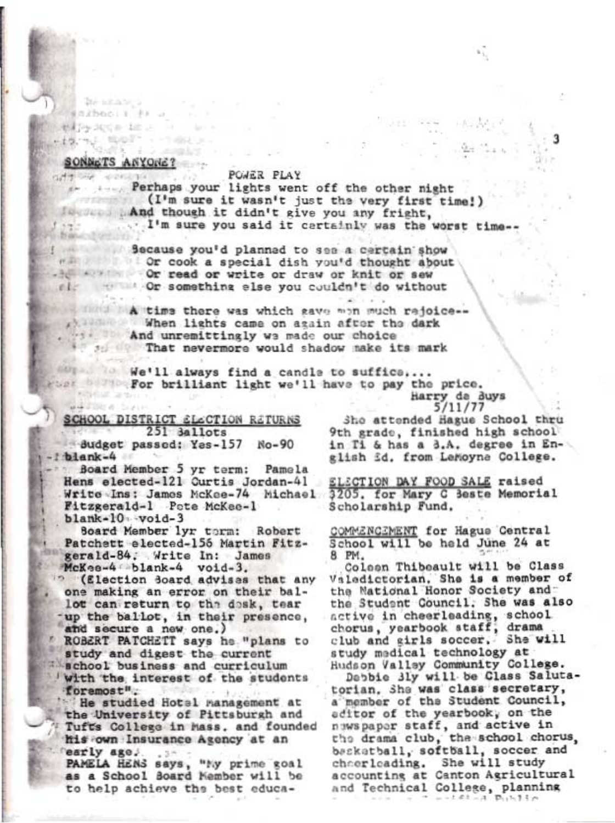# dubb i i angiri SONNETS ANYONE? off big concrete to the

ad File a Sun

 $5.9 - 7.7$ 

he enance a communication A is a statement radiate Barbadon Louis House 4.1 NOUT - - THIN -

#### **POWER PLAY**

... Perhaps your lights went off the other night (I'm sure it wasn't just the very first time!) And though it didn't give you any fright, I'm sure you said it certainly was the worst time --

 $-20 - 1 - 1$ 

Secause you'd planned to see a certain show will be cook a special dish you'd thought about . Or read or write or draw or knit or sew all the Or something else you couldn't do without

That I A time there was which gave won much rejoice --When lights came on again after the dark And unremittingly we made our choice 30 That nevermore would shadow make its mark

We'll always find a candle to suffice.... Wer of For brilliant light we'll have to pay the price. **Kingdom and Street** Harry de Buys

SCHOOL DISTRICT SLCCTION RETURNS 251 3allots

Budget passed: Yes-157 No-90 blank-4

Board Member 5 yr term: Pamela Hens elected-121 Curtis Jordan-41 Write Ins: James McKee-74 Michael Fitzgerald-1 Pete McKee-1  $blank-10$  void-3

Board Member lyr torm: Robert Patchett elected-156 Martin Fitzgerald-84; Write In: James McKes-4 blank-4 void-3.

<sup>2</sup> (Election Board advises that any one making an error on their ballot can return to the desk, tear up the ballot, in their presence, and secure a new one.)

ROBERT PATCHETT says he "plans to study and digest the current school business and curriculum with the interest of the students foremost".

He studied Hotal management at the University of Pittsburgh and Tuft's College in hass, and founded his own Insurance Agency at an Tearly age. . ..

PAMELA HENS says, "My prime goal as a School Board Nember will be to help achieve the best educa-

5/11/77 Sho attended Hague School thru 9th grade, finished high school in Ti & has a 3.A. degree in English *id.* from LeMoyne College.

З

**ELECTION DAY FOOD SALE raised** 3205. for Mary C Beste Memorial Scholarship Fund.

COMMENCEMENT for Hagus Central<br>School will be held June 24 at 8 PM.

Coleen Thibeault will be Class Valedictorian. She is a member of the National Honor Society and the Student Council. She was also active in cheerleading, school chorus, yearbook staff, drama club and girls soccer. She will study medical technology at Hudson Valley Community College.

Debbie 31y will be Class Salutatorian, She was class secretary, a member of the Student Council, aditor of the yearbook, on the nawspaper staff, and active in the drama club, the school chorus. beckatball, softball, soccer and chaerleading. She will study accounting at Canton Agricultural and Technical College, planning  $A = 1.2.1 - 4$  $p_{11}$ 1-1.1- $p_1$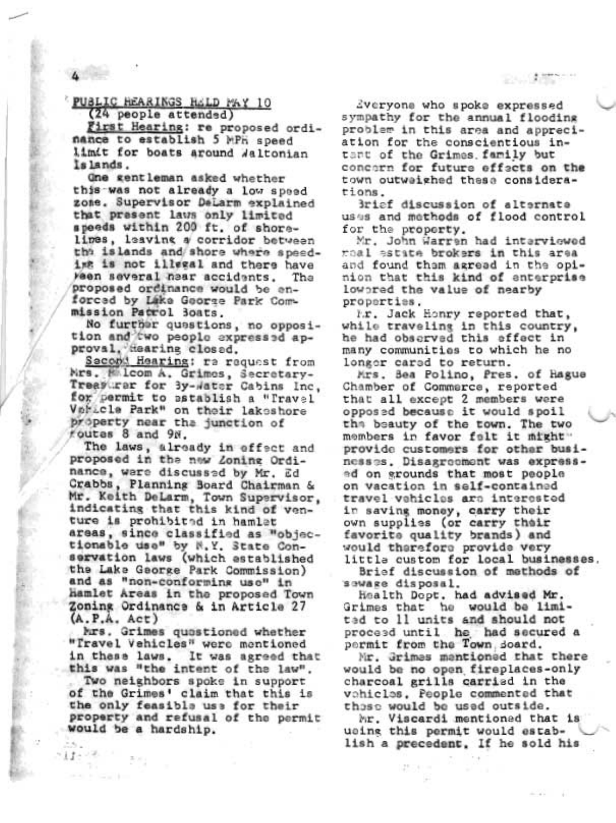PUBLIC HEARINGS HELD MAY 10 (24 people attended)

First Hearing: re proposed ordinance to establish 5 MPH speed limit for boats around Waltonian Islands.

One gentleman asked whether this was not already a low speed zone. Supervisor DeLarm explained that present laws only limited speeds within 200 ft. of shorelimes, leaving a corridor between the islands and shore where speeding is not illegal and there have Ween several hear accidents. Tha proposed ordinance would be enforced by Lake George Park Commission Patrol Boats.

No further questions, no opposition and two peoplo expressed approval, dearing closed.

Sacond Hearing: ra request from Mrs. Malcom A. Grimos, Secretary-Treasurer for 3y-water Cabins Inc. for permit to establish a "Travel Voricle Park" on their lakeshore property near tha junction of foutes 8 and 9N.

The laws, already in effect and proposed in the new Zoning Ordinance, ware discussed by Mr. Ed Crabbs, Planning Board Chairman & Mr. Keith DeLarm, Town Supervisor,<br>indicating that this kind of venture is prohibited in hamlet areas, since classified as "objectionable use" by N.Y. State Conservation laws (which established the Lake George Park Commission) and as "non-conforming use" in hamlet Areas in the proposed Town Zoning Ordinance & in Article 27  $(A.P.A. Act)$ 

Mrs. Grimes quostioned whether "Travel Vehicles" were mentioned in these laws. It was agreed that this was "the intent of the law".

Two neighbors spoke in support of the Grimes' claim that this is the only feasible use for their property and refusal of the permit would be a hardship.

ほかりあい

Zveryone who spoke expressed sympathy for the annual flooding problem in this area and appreciation for the conscientious intant of the Grimes, family but concarn for future effects on the town outwaighed these considerstions.

Brief discussion of alternate uses and methods of flood control for the property.

Mr. John Warren had interviewed moal estate brokers in this area and found them agread in the opinion that this kind of enterprise lowored the value of nearby properties.

I.r. Jack Honry reported that, while traveling in this country, he had observed this effect in many communities to which he no longer cared to return.

Mrs. Bea Polino, Pres. of Hague Chamber of Commerce, reported that all except 2 members were opposed because it would spoil the beauty of the town. The two members in favor felt it might" provide customers for other businesses. Disagreement was expressed on grounds that most people on vacation in self-contained travel vehicles are interested in saving money, carry their own supplies (or carry their favorite quality brands) and would therefore provide very little custom for local businesses.

Brief discussion of methods of sewage disposal.

Health Dopt, had advised Mr. Grimes that he would be limited to 11 units and should not proceed until he had secured a permit from the Town doard.

Mr. Grimes mantioned that there would be no open fireplaces-only charcoal grills carried in the vohicles. People commented that those would be used outside.

Mr. Viscardi mentioned that is ucing this permit would establish a precedent. If he sold his

23 J.M. 2010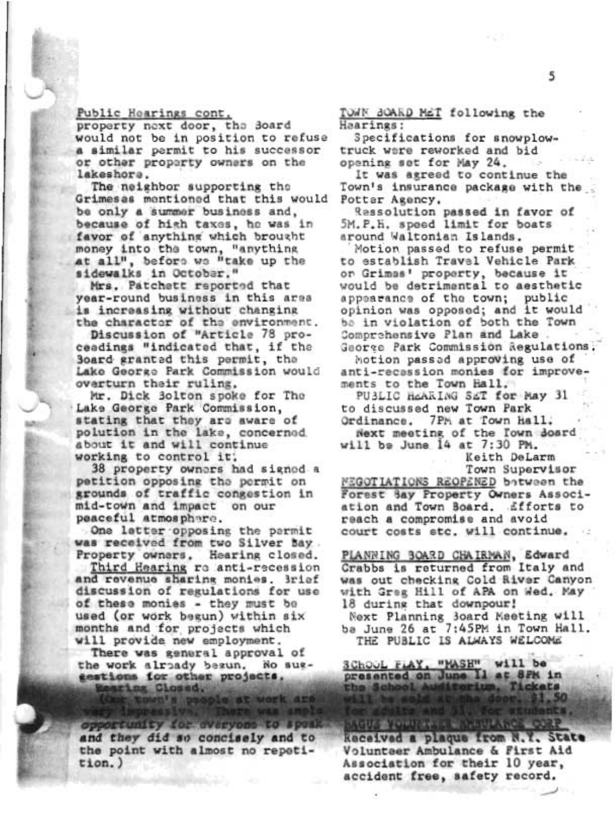## Public Hearings cont.

property next door, the Board would not be in position to refuse a similar permit to his successor or other property owners on the lakeshore.

The neighbor supporting the Grimesas mentioned that this would be only a summer business and. because of high taxes, he was in favor of anything which brought money into the town, "anything at all", before we "take up the sidewalks in October."

Mrs. Patchett reported that year-round business in this area is increasing without changing the character of the environment.

Discussion of "Article 78 proceadings "indicated that, if the Board granted this permit, the Lake George Park Commission would overturn their ruling.

Mr. Dick 3olton spoke for The Lake George Park Commission, stating that they are aware of polution in the lake, concerned about it and will continue working to control it.

38 property owners had signed a petition opposing the permit on grounds of traffic congestion in mid-town and impact on our peaceful atmosphare.

One letter opposing the parmit was received from two Silver bay. Property owners, Hearing closed.

Third Hearing ro anti-recession and revenue sharing monies. Brief discussion of regulations for use of these monies - they must be used (or work begun) within six months and for projects which will provide new employment.

There was general approval of the work alroady besun. No suggestions for other projects. Mearing Closed.

opportunity for everyon and they did so concisely and to the point with almost no repetition.)

TOWN BOARD MET following the Haarings:

Specifications for snowplowtruck were reworked and bid opening set for May 24.

It was agreed to continue the Town's insurance package with the Potter Agency.

Ressolution passed in favor of 5M.P.H. speed limit for boats around Waltonian Islands.

Motion passed to refuse permit to establish Travel Vehicle Park or Grimns' property, because it would be detrimental to aesthetic appearance of the town; public opinion was opposed; and it would be in violation of both the Town Comprehensive Plan and Lake George Park Commission Regulations.

Motion passed approving use of anti-recassion monies for improvements to the Town Hall.

PUBLIC HEARING SET for May 31 to discussed new Town Park Ordinance. 7PM at Town Hall. Next meeting of the Town doard will be June 14 at 7:30 PM.

Keith DeLarm

**UNLANCE COR** 

Town Supervisor

MEGOTIATIONS REOPENED batween the Forest Say Property Owners Association and Town Board. Efforts to reach a compromise and avoid court costs stc. will continue.

PLANNING BOARD CHAIRMAN, Edward Crabbs is returned from Italy and was out checking Cold River Canyon with Greg Hill of APA on Wed. May 18 during that downpour!

Next Planning 3oard Meeting will ba June 26 at 7:45PM in Town Hall. THE PUBLIC IS ALWAYS WELCOME

SChool riay, "MASH" will be presented on June 11 at 8FK in the School Audie orium. Tickets

**AGUS VOLUME** keceived a plaque from N.Y. State Volunteer Ambulance & First Aid Association for their 10 year, accident free, safety record.